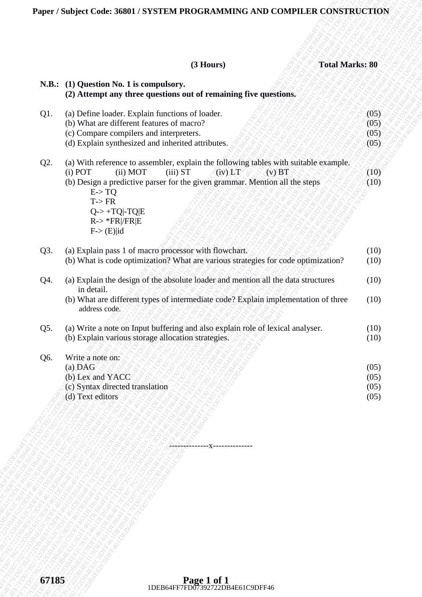#### **(3 Hours) Total Marks: 80**

| N.B.: (1) Question No. 1 is compulsory.<br>(2) Attempt any three questions out of remaining five questions.<br>(a) Define loader. Explain functions of loader.<br>(b) What are different features of macro?<br>(05)<br>(c) Compare compilers and interpreters.<br>(05)<br>(d) Explain synthesized and inherited attributes.<br>(a) With reference to assembler, explain the following tables with suitable example.<br>$(i)$ POT<br>(ii) MOT<br>$(iii)$ ST<br>(iy)LT<br>$(v)$ BT<br>(b) Design a predictive parser for the given grammar. Mention all the steps<br>(10)<br>E > TQ<br>$T\rightarrow FR$<br>$Q \rightarrow +TQ$ -TQ $ E$<br>$R \rightarrow$ *FR /FR E<br>$F > (E)$  id<br>(a) Explain pass 1 of macro processor with flowchart.<br>(b) What is code optimization? What are various strategies for code optimization?<br>(10)<br>(a) Explain the design of the absolute loader and mention all the data structures<br>in detail.<br>(b) What are different types of intermediate code? Explain implementation of three<br>address code.<br>(a) Write a note on Input buffering and also explain role of lexical analyser.<br>(b) Explain various storage allocation strategies.<br>Write a note on:<br>(a) DAG<br>(05)<br>(b) Lex and YACC<br>(c) Syntax directed translation<br>(d) Text editors |     | $(3$ Hours)<br><b>Total Marks: 80</b> |      |
|----------------------------------------------------------------------------------------------------------------------------------------------------------------------------------------------------------------------------------------------------------------------------------------------------------------------------------------------------------------------------------------------------------------------------------------------------------------------------------------------------------------------------------------------------------------------------------------------------------------------------------------------------------------------------------------------------------------------------------------------------------------------------------------------------------------------------------------------------------------------------------------------------------------------------------------------------------------------------------------------------------------------------------------------------------------------------------------------------------------------------------------------------------------------------------------------------------------------------------------------------------------------------------------------------------------|-----|---------------------------------------|------|
|                                                                                                                                                                                                                                                                                                                                                                                                                                                                                                                                                                                                                                                                                                                                                                                                                                                                                                                                                                                                                                                                                                                                                                                                                                                                                                                |     |                                       |      |
|                                                                                                                                                                                                                                                                                                                                                                                                                                                                                                                                                                                                                                                                                                                                                                                                                                                                                                                                                                                                                                                                                                                                                                                                                                                                                                                |     |                                       |      |
|                                                                                                                                                                                                                                                                                                                                                                                                                                                                                                                                                                                                                                                                                                                                                                                                                                                                                                                                                                                                                                                                                                                                                                                                                                                                                                                | Q1. |                                       | (05) |
|                                                                                                                                                                                                                                                                                                                                                                                                                                                                                                                                                                                                                                                                                                                                                                                                                                                                                                                                                                                                                                                                                                                                                                                                                                                                                                                |     |                                       |      |
|                                                                                                                                                                                                                                                                                                                                                                                                                                                                                                                                                                                                                                                                                                                                                                                                                                                                                                                                                                                                                                                                                                                                                                                                                                                                                                                |     |                                       | (05) |
|                                                                                                                                                                                                                                                                                                                                                                                                                                                                                                                                                                                                                                                                                                                                                                                                                                                                                                                                                                                                                                                                                                                                                                                                                                                                                                                | Q2. |                                       |      |
|                                                                                                                                                                                                                                                                                                                                                                                                                                                                                                                                                                                                                                                                                                                                                                                                                                                                                                                                                                                                                                                                                                                                                                                                                                                                                                                |     |                                       | (10) |
|                                                                                                                                                                                                                                                                                                                                                                                                                                                                                                                                                                                                                                                                                                                                                                                                                                                                                                                                                                                                                                                                                                                                                                                                                                                                                                                |     |                                       |      |
|                                                                                                                                                                                                                                                                                                                                                                                                                                                                                                                                                                                                                                                                                                                                                                                                                                                                                                                                                                                                                                                                                                                                                                                                                                                                                                                |     |                                       |      |
|                                                                                                                                                                                                                                                                                                                                                                                                                                                                                                                                                                                                                                                                                                                                                                                                                                                                                                                                                                                                                                                                                                                                                                                                                                                                                                                |     |                                       |      |
|                                                                                                                                                                                                                                                                                                                                                                                                                                                                                                                                                                                                                                                                                                                                                                                                                                                                                                                                                                                                                                                                                                                                                                                                                                                                                                                |     |                                       |      |
|                                                                                                                                                                                                                                                                                                                                                                                                                                                                                                                                                                                                                                                                                                                                                                                                                                                                                                                                                                                                                                                                                                                                                                                                                                                                                                                | Q3. |                                       | (10) |
|                                                                                                                                                                                                                                                                                                                                                                                                                                                                                                                                                                                                                                                                                                                                                                                                                                                                                                                                                                                                                                                                                                                                                                                                                                                                                                                |     |                                       |      |
|                                                                                                                                                                                                                                                                                                                                                                                                                                                                                                                                                                                                                                                                                                                                                                                                                                                                                                                                                                                                                                                                                                                                                                                                                                                                                                                | Q4. |                                       | (10) |
|                                                                                                                                                                                                                                                                                                                                                                                                                                                                                                                                                                                                                                                                                                                                                                                                                                                                                                                                                                                                                                                                                                                                                                                                                                                                                                                |     |                                       | (10) |
|                                                                                                                                                                                                                                                                                                                                                                                                                                                                                                                                                                                                                                                                                                                                                                                                                                                                                                                                                                                                                                                                                                                                                                                                                                                                                                                | Q5. |                                       | (10) |
|                                                                                                                                                                                                                                                                                                                                                                                                                                                                                                                                                                                                                                                                                                                                                                                                                                                                                                                                                                                                                                                                                                                                                                                                                                                                                                                |     |                                       | (10) |
|                                                                                                                                                                                                                                                                                                                                                                                                                                                                                                                                                                                                                                                                                                                                                                                                                                                                                                                                                                                                                                                                                                                                                                                                                                                                                                                | Q6. |                                       |      |
|                                                                                                                                                                                                                                                                                                                                                                                                                                                                                                                                                                                                                                                                                                                                                                                                                                                                                                                                                                                                                                                                                                                                                                                                                                                                                                                |     |                                       | (05) |
|                                                                                                                                                                                                                                                                                                                                                                                                                                                                                                                                                                                                                                                                                                                                                                                                                                                                                                                                                                                                                                                                                                                                                                                                                                                                                                                |     |                                       | (05) |
|                                                                                                                                                                                                                                                                                                                                                                                                                                                                                                                                                                                                                                                                                                                                                                                                                                                                                                                                                                                                                                                                                                                                                                                                                                                                                                                |     |                                       | (05) |
|                                                                                                                                                                                                                                                                                                                                                                                                                                                                                                                                                                                                                                                                                                                                                                                                                                                                                                                                                                                                                                                                                                                                                                                                                                                                                                                |     |                                       |      |
|                                                                                                                                                                                                                                                                                                                                                                                                                                                                                                                                                                                                                                                                                                                                                                                                                                                                                                                                                                                                                                                                                                                                                                                                                                                                                                                |     |                                       |      |
|                                                                                                                                                                                                                                                                                                                                                                                                                                                                                                                                                                                                                                                                                                                                                                                                                                                                                                                                                                                                                                                                                                                                                                                                                                                                                                                |     |                                       |      |
|                                                                                                                                                                                                                                                                                                                                                                                                                                                                                                                                                                                                                                                                                                                                                                                                                                                                                                                                                                                                                                                                                                                                                                                                                                                                                                                |     |                                       |      |
|                                                                                                                                                                                                                                                                                                                                                                                                                                                                                                                                                                                                                                                                                                                                                                                                                                                                                                                                                                                                                                                                                                                                                                                                                                                                                                                |     |                                       |      |
|                                                                                                                                                                                                                                                                                                                                                                                                                                                                                                                                                                                                                                                                                                                                                                                                                                                                                                                                                                                                                                                                                                                                                                                                                                                                                                                |     |                                       |      |
|                                                                                                                                                                                                                                                                                                                                                                                                                                                                                                                                                                                                                                                                                                                                                                                                                                                                                                                                                                                                                                                                                                                                                                                                                                                                                                                |     |                                       |      |
|                                                                                                                                                                                                                                                                                                                                                                                                                                                                                                                                                                                                                                                                                                                                                                                                                                                                                                                                                                                                                                                                                                                                                                                                                                                                                                                |     |                                       |      |
|                                                                                                                                                                                                                                                                                                                                                                                                                                                                                                                                                                                                                                                                                                                                                                                                                                                                                                                                                                                                                                                                                                                                                                                                                                                                                                                |     |                                       |      |
|                                                                                                                                                                                                                                                                                                                                                                                                                                                                                                                                                                                                                                                                                                                                                                                                                                                                                                                                                                                                                                                                                                                                                                                                                                                                                                                |     |                                       |      |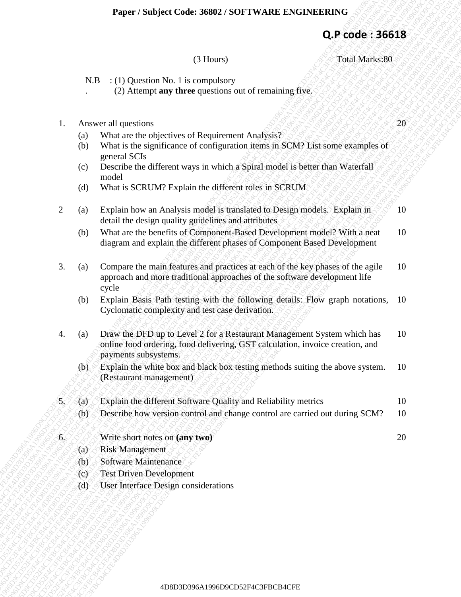### **Q.P code : 36618**

#### (3 Hours) Total Marks:80

N.B : (1) Question No. 1 is compulsory

(2) Attempt **any three** questions out of remaining five.

|  | Answer all questions | $\sqrt{20}$ |
|--|----------------------|-------------|
|--|----------------------|-------------|

.

- (a) What are the objectives of Requirement Analysis?
- (b) What is the significance of configuration items in SCM? List some examples of general SCIs
- (c) Describe the different ways in which a Spiral model is better than Waterfall model
- (d) What is SCRUM? Explain the different roles in SCRUM
- 2 (a) Explain how an Analysis model is translated to Design models. Explain in detail the design quality guidelines and attributes 10
	- (b) What are the benefits of Component-Based Development model? With a neat diagram and explain the different phases of Component Based Development 10
- **Experiment Solution: A6902/3OFTWARE ENGINEERING**<br>
(3) Hounds)<br>
(3) Hounds)<br>
(3) Andreasting the sequentions and of sensitivity (Fox.<br>
(3) Where the checked solutions of configuration internal of SAT List issues extangle **Froger / Subject Codes 36802 / SOFTWARE ENGINEERING**<br>
(3) **CP Code 3 36613**<br>
(3) (1) (Despite No 1 is compulsory<br>
(2) Akaray atl guestion of the compulsory<br>
(2) Akaray and these species of the compute of the control of **2D**<br> **2D Frederic S6633**<br>
(3) House (3) House (3) House (3) House (3) House (3) House (3) Anticape any three quantities of electromization of Evention of Evention of Evention of Evention of Evention of Evention of Event 4D8D3D396A1996D9CD52F4C3FBCB4CFE4D8D3D396A1996D9CD52F4C3FBCB4CFE4D8D3D396A1996D9CD52F4C3FBCB4CFE4D8D3D396A1996D9CD52F4C3FBCB4CFE4D8D3D396A1996D9CD52F4C3FBCB4CFE4D8D3D396A1996D9CD52F4C3FBCB4CFE **Fager / Subject Code 19893 / SOFTWARE ENGINEERING**<br>
(3) **APS**<br>
(3) **APS**<br>
(3) **APS**<br>
(3) **APS**<br>
(3) **APS**<br>
(3) **APS**<br>
(3) **APS**<br>
(4) **APS**<br>
(4) **APS**<br>
(4) **APS**<br>
(4) **APS**<br>
(4) **APS**<br>
(4) **APS**<br>
(4) **APS**<br>
(4) **APS**<br>
(4) 4D8D3D396A1996D9CD52F4C3FBCB4CFE4D8D3D396A1996D9CD52F4C3FBCB4CFE4D8D3D396A1996D9CD52F4C3FBCB4CFE4D8D3D396A1996D9CD52F4C3FBCB4CFE4D8D3D396A1996D9CD52F4C3FBCB4CFE4D8D3D396A1996D9CD52F4C3FBCB4CFE 4D8D3D396A1996D9CD52F4C3FBCB4CFE4D8D3D396A1996D9CD52F4C3FBCB4CFE4D8D3D396A1996D9CD52F4C3FBCB4CFE4D8D3D396A1996D9CD52F4C3FBCB4CFE4D8D3D396A1996D9CD52F4C3FBCB4CFE4D8D3D396A1996D9CD52F4C3FBCB4CFE 4D8D3D396A1996D9CD52F4C3FBCB4CFE4D8D3D396A1996D9CD52F4C3FBCB4CFE4D8D3D396A1996D9CD52F4C3FBCB4CFE4D8D3D396A1996D9CD52F4C3FBCB4CFE4D8D3D396A1996D9CD52F4C3FBCB4CFE4D8D3D396A1996D9CD52F4C3FBCB4CFE 4D8D3D396A1996D9CD52F4C3FBCB4CFE4D8D3D396A1996D9CD52F4C3FBCB4CFE4D8D3D396A1996D9CD52F4C3FBCB4CFE4D8D3D396A1996D9CD52F4C3FBCB4CFE4D8D3D396A1996D9CD52F4C3FBCB4CFE4D8D3D396A1996D9CD52F4C3FBCB4CFE 4D8D3D396A1996D9CD52F4C3FBCB4CFE4D8D3D396A1996D9CD52F4C3FBCB4CFE4D8D3D396A1996D9CD52F4C3FBCB4CFE4D8D3D396A1996D9CD52F4C3FBCB4CFE4D8D3D396A1996D9CD52F4C3FBCB4CFE4D8D3D396A1996D9CD52F4C3FBCB4CFE 4D8D3D396A1996D9CD52F4C3FBCB4CFE4D8D3D396A1996D9CD52F4C3FBCB4CFE4D8D3D396A1996D9CD52F4C3FBCB4CFE4D8D3D396A1996D9CD52F4C3FBCB4CFE4D8D3D396A1996D9CD52F4C3FBCB4CFE4D8D3D396A1996D9CD52F4C3FBCB4CFE 4D8D3D396A1996D9CD52F4C3FBCB4CFE4D8D3D396A1996D9CD52F4C3FBCB4CFE4D8D3D396A1996D9CD52F4C3FBCB4CFE4D8D3D396A1996D9CD52F4C3FBCB4CFE4D8D3D396A1996D9CD52F4C3FBCB4CFE4D8D3D396A1996D9CD52F4C3FBCB4CFE 4D8D3D396A1996D9CD52F4C3FBCB4CFE4D8D3D396A1996D9CD52F4C3FBCB4CFE4D8D3D396A1996D9CD52F4C3FBCB4CFE4D8D3D396A1996D9CD52F4C3FBCB4CFE4D8D3D396A1996D9CD52F4C3FBCB4CFE4D8D3D396A1996D9CD52F4C3FBCB4CFE 4D8D3D396A1996D9CD52F4C3FBCB4CFE4D8D3D396A1996D9CD52F4C3FBCB4CFE4D8D3D396A1996D9CD52F4C3FBCB4CFE4D8D3D396A1996D9CD52F4C3FBCB4CFE4D8D3D396A1996D9CD52F4C3FBCB4CFE4D8D3D396A1996D9CD52F4C3FBCB4CFE 4D8D3D396A1996D9CD52F4C3FBCB4CFE4D8D3D396A1996D9CD52F4C3FBCB4CFE4D8D3D396A1996D9CD52F4C3FBCB4CFE4D8D3D396A1996D9CD52F4C3FBCB4CFE4D8D3D396A1996D9CD52F4C3FBCB4CFE4D8D3D396A1996D9CD52F4C3FBCB4CFE **Expert / Studient Code: 36902 / SOE TUALE ENGLASERING**<br>
(a) **C Expression of Case of Case of Access and Case of Access and Case of Access and Case of Access and Case of Access and Case of Access and Case of Case of Ca** 4Pger / Subject Code: 56618<br>
(2) Houses (2) CH boxs)<br>
(3) Houses (2) CH boxs)<br>
(3) Houses (2) CH boxs)<br>
(3) Antenpre any three conceluses out of remaining free.<br>
1. Answer all questions conceluses of Requirement of remai 4D8P87 (Studiest Cooke 36002 / SODY1WADLE ENGEREE SERVIES (366 2866 286618<br>
(31 Diony)<br>
23 B (10 Divestion No. 1 is compulsory<br>
23 B (10 Divestion No. 1 is compulsory<br>
23 Notes (10 Divestion No. 1 is compulsor)<br>
23 Notes **4D<sub>8</sub>P4</sub> (Surject Code: 3893** 33 Hotts)<br>
(3) Hotts)<br>
(3) Hotts)<br>
(3) About 44 Method No Liverandony<br>
(3) About 44 Method No Liverandony<br>
(3) About 44 Method No Liverandon (4) containing five.<br>
1. Answer all quotiens<br>
(b **Experies Studient Conte 3600023 SODETWARE ENCONTRIUNT:**<br>
(**C)** Alternative and C) the computer of the computer of the computer of the computer of the computer of the computer of the computer of the computer of the comput 3. (a) Compare the main features and practices at each of the key phases of the agile approach and more traditional approaches of the software development life cycle 10
	- (b) Explain Basis Path testing with the following details: Flow graph notations, Cyclomatic complexity and test case derivation. 10
	- 4. (a) Draw the DFD up to Level 2 for a Restaurant Management System which has online food ordering, food delivering, GST calculation, invoice creation, and payments subsystems. 10
		- (b) Explain the white box and black box testing methods suiting the above system. (Restaurant management) 10
	- 5. (a) Explain the different Software Quality and Reliability metrics 10
		- (b) Describe how version control and change control are carried out during SCM? 10
	- 6. Write short notes on **(any two)** 20
		- (a) Risk Management
		- (b) Software Maintenance
		- (c) Test Driven Development
		- (d) User Interface Design considerations

4D8D3D396A1996D9CD52F4C3FBCB4CFE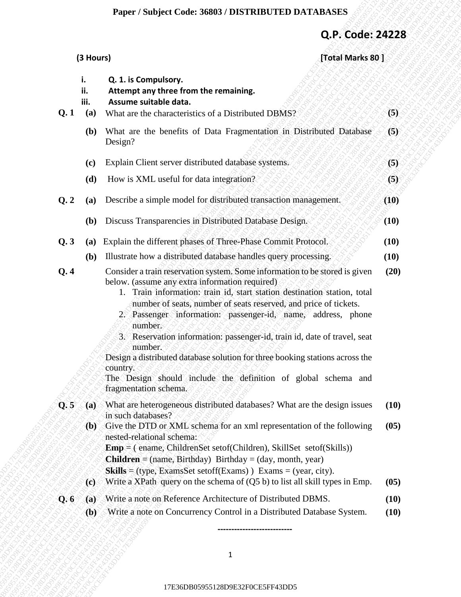## **Paper / Subject Code: 36803 / DISTRIBUTED DATABASES**

# **Q.P. Code: 24228**

|                               |                                            |                                                                                                                                                                                                                                                                                                                                                                                                                                                                                                                                                                                                                                       | Q.P. Code: 24228 |                      |
|-------------------------------|--------------------------------------------|---------------------------------------------------------------------------------------------------------------------------------------------------------------------------------------------------------------------------------------------------------------------------------------------------------------------------------------------------------------------------------------------------------------------------------------------------------------------------------------------------------------------------------------------------------------------------------------------------------------------------------------|------------------|----------------------|
|                               | (3 Hours)                                  |                                                                                                                                                                                                                                                                                                                                                                                                                                                                                                                                                                                                                                       | [Total Marks 80] |                      |
|                               | i.<br>ij.<br>iii.                          | Q. 1. is Compulsory.<br>Attempt any three from the remaining.<br>Assume suitable data.                                                                                                                                                                                                                                                                                                                                                                                                                                                                                                                                                |                  |                      |
| Q.1                           | (a)                                        | What are the characteristics of a Distributed DBMS?                                                                                                                                                                                                                                                                                                                                                                                                                                                                                                                                                                                   |                  | (5)                  |
|                               | (b)                                        | What are the benefits of Data Fragmentation in Distributed Database<br>Design?                                                                                                                                                                                                                                                                                                                                                                                                                                                                                                                                                        |                  | (5)                  |
|                               | (c)                                        | Explain Client server distributed database systems.                                                                                                                                                                                                                                                                                                                                                                                                                                                                                                                                                                                   |                  | (5)                  |
|                               | (d)                                        | How is XML useful for data integration?                                                                                                                                                                                                                                                                                                                                                                                                                                                                                                                                                                                               |                  | (5)                  |
| Q.2                           | (a)                                        | Describe a simple model for distributed transaction management.                                                                                                                                                                                                                                                                                                                                                                                                                                                                                                                                                                       |                  | (10)                 |
|                               | <b>(b)</b>                                 | Discuss Transparencies in Distributed Database Design.                                                                                                                                                                                                                                                                                                                                                                                                                                                                                                                                                                                |                  | (10)                 |
| Q.3                           | (a)                                        | Explain the different phases of Three-Phase Commit Protocol.                                                                                                                                                                                                                                                                                                                                                                                                                                                                                                                                                                          |                  | (10)                 |
|                               | (b)                                        | Illustrate how a distributed database handles query processing.                                                                                                                                                                                                                                                                                                                                                                                                                                                                                                                                                                       |                  | (10)                 |
| Q.4                           |                                            | Consider a train reservation system. Some information to be stored is given<br>below. (assume any extra information required)<br>1. Train information: train id, start station destination station, total<br>number of seats, number of seats reserved, and price of tickets.<br>2. Passenger information: passenger-id, name, address, phone<br>number.<br>3. Reservation information: passenger-id, train id, date of travel, seat<br>number.<br>Design a distributed database solution for three booking stations across the<br>country.<br>The Design should include the definition of global schema and<br>fragmentation schema. |                  | (20)                 |
| Q.5                           | (a)<br>$\langle \mathbf{p} \rangle$<br>(c) | What are heterogeneous distributed databases? What are the design issues<br>in such databases?<br>Give the DTD or XML schema for an xml representation of the following<br>nested-relational schema:<br>$Emp = ($ ename, ChildrenSet setof(Children), SkillSet setof(Skills))<br><b>Children</b> = (name, Birthday) Birthday = (day, month, year)<br>Skills = (type, ExamsSet setoff(Exams)) Exams = (year, city).<br>Write a XPath query on the schema of $(Q5 b)$ to list all skill types in Emp.                                                                                                                                   |                  | (10)<br>(05)<br>(05) |
| $\mathbf{Q}$ , $\mathbf{6}$ , | (a)                                        | Write a note on Reference Architecture of Distributed DBMS.                                                                                                                                                                                                                                                                                                                                                                                                                                                                                                                                                                           |                  | (10)                 |
|                               | $\langle \mathbf{b} \rangle$               | Write a note on Concurrency Control in a Distributed Database System.                                                                                                                                                                                                                                                                                                                                                                                                                                                                                                                                                                 |                  | (10)                 |
|                               |                                            |                                                                                                                                                                                                                                                                                                                                                                                                                                                                                                                                                                                                                                       |                  |                      |
|                               |                                            | $\mathbf{1}$                                                                                                                                                                                                                                                                                                                                                                                                                                                                                                                                                                                                                          |                  |                      |